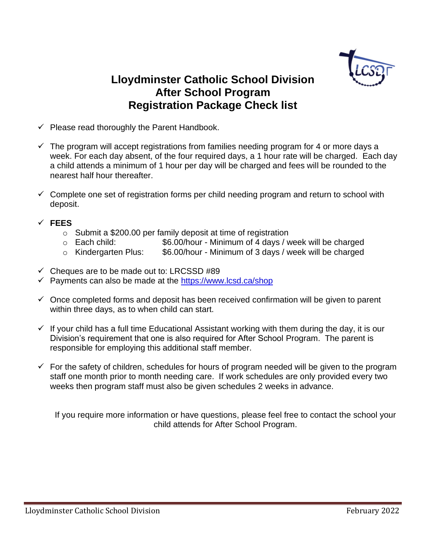

# **Lloydminster Catholic School Division After School Program Registration Package Check list**

- $\checkmark$  Please read thoroughly the Parent Handbook.
- $\checkmark$  The program will accept registrations from families needing program for 4 or more days a week. For each day absent, of the four required days, a 1 hour rate will be charged. Each day a child attends a minimum of 1 hour per day will be charged and fees will be rounded to the nearest half hour thereafter.
- $\checkmark$  Complete one set of registration forms per child needing program and return to school with deposit.

## ✓ **FEES**

- $\circ$  Submit a \$200.00 per family deposit at time of registration
- o Each child: \$6.00/hour Minimum of 4 days / week will be charged
- o Kindergarten Plus: \$6.00/hour Minimum of 3 days / week will be charged
- $\checkmark$  Cheques are to be made out to: LRCSSD #89
- ✓ Payments can also be made at the<https://www.lcsd.ca/shop>
- $\checkmark$  Once completed forms and deposit has been received confirmation will be given to parent within three days, as to when child can start.
- $\checkmark$  If your child has a full time Educational Assistant working with them during the day, it is our Division's requirement that one is also required for After School Program. The parent is responsible for employing this additional staff member.
- $\checkmark$  For the safety of children, schedules for hours of program needed will be given to the program staff one month prior to month needing care. If work schedules are only provided every two weeks then program staff must also be given schedules 2 weeks in advance.

If you require more information or have questions, please feel free to contact the school your child attends for After School Program.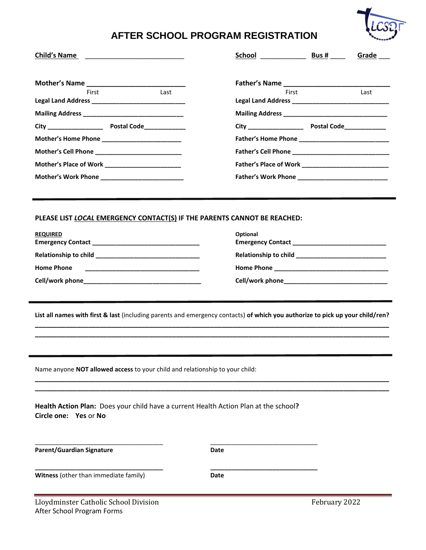

## **AFTER SCHOOL PROGRAM REGISTRATION**

| Child's Name                                                                                                  | School Bus #<br>Grade                                                                                                         |
|---------------------------------------------------------------------------------------------------------------|-------------------------------------------------------------------------------------------------------------------------------|
|                                                                                                               |                                                                                                                               |
| Last<br>First                                                                                                 | First<br>Last                                                                                                                 |
|                                                                                                               |                                                                                                                               |
|                                                                                                               |                                                                                                                               |
|                                                                                                               |                                                                                                                               |
| Mother's Cell Phone _____________________________                                                             |                                                                                                                               |
| Mother's Place of Work _______________________                                                                |                                                                                                                               |
|                                                                                                               |                                                                                                                               |
|                                                                                                               |                                                                                                                               |
| PLEASE LIST LOCAL EMERGENCY CONTACT(S) IF THE PARENTS CANNOT BE REACHED:                                      |                                                                                                                               |
| <b>REQUIRED</b>                                                                                               | Optional                                                                                                                      |
|                                                                                                               | Emergency Contact Management Contact                                                                                          |
|                                                                                                               |                                                                                                                               |
| <b>Home Phone</b>                                                                                             |                                                                                                                               |
|                                                                                                               |                                                                                                                               |
|                                                                                                               | List all names with first & last (including parents and emergency contacts) of which you authorize to pick up your child/ren? |
|                                                                                                               |                                                                                                                               |
|                                                                                                               |                                                                                                                               |
| Name anyone NOT allowed access to your child and relationship to your child:                                  |                                                                                                                               |
|                                                                                                               |                                                                                                                               |
| Health Action Plan: Does your child have a current Health Action Plan at the school?<br>Circle one: Yes or No |                                                                                                                               |
|                                                                                                               |                                                                                                                               |
| <b>Parent/Guardian Signature</b>                                                                              | Date                                                                                                                          |
| Witness (other than immediate family)                                                                         | <b>Date</b>                                                                                                                   |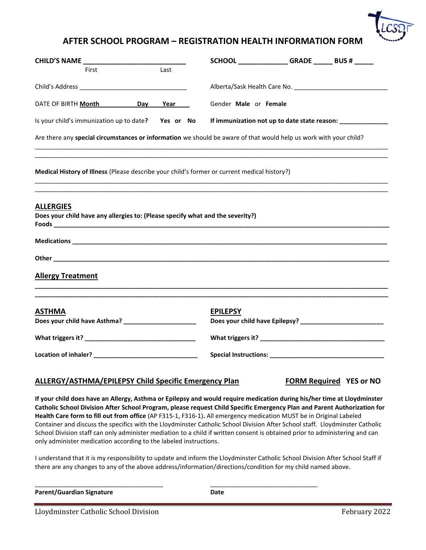

### **AFTER SCHOOL PROGRAM – REGISTRATION HEALTH INFORMATION FORM**

| <b>CHILD'S NAME</b>                                                                                        |     |      | SCHOOL _______________GRADE _______ BUS # ______                                                                  |
|------------------------------------------------------------------------------------------------------------|-----|------|-------------------------------------------------------------------------------------------------------------------|
| First                                                                                                      |     | Last |                                                                                                                   |
|                                                                                                            |     |      |                                                                                                                   |
| DATE OF BIRTH Month                                                                                        | Day | Year | Gender Male or Female                                                                                             |
| Is your child's immunization up to date? Yes or No                                                         |     |      | If immunization not up to date state reason: ___________________________________                                  |
|                                                                                                            |     |      | Are there any special circumstances or information we should be aware of that would help us work with your child? |
|                                                                                                            |     |      | Medical History of Illness (Please describe your child's former or current medical history?)                      |
|                                                                                                            |     |      |                                                                                                                   |
|                                                                                                            |     |      |                                                                                                                   |
|                                                                                                            |     |      |                                                                                                                   |
|                                                                                                            |     |      |                                                                                                                   |
| Does your child have any allergies to: (Please specify what and the severity?)<br><b>Allergy Treatment</b> |     |      |                                                                                                                   |
|                                                                                                            |     |      | <b>EPILEPSY</b>                                                                                                   |
| <b>ALLERGIES</b><br><b>ASTHMA</b>                                                                          |     |      |                                                                                                                   |
|                                                                                                            |     |      |                                                                                                                   |

#### **ALLERGY/ASTHMA/EPILEPSY Child Specific Emergency Plan FORM Required YES or NO**

**If your child does have an Allergy, Asthma or Epilepsy and would require medication during his/her time at Lloydminster Catholic School Division After School Program, please request Child Specific Emergency Plan and Parent Authorization for Health Care form to fill out from office** (AP F315-1, F316-1)**.** All emergency medication MUST be in Original Labeled Container and discuss the specifics with the Lloydminster Catholic School Division After School staff. Lloydminster Catholic School Division staff can only administer mediation to a child if written consent is obtained prior to administering and can only administer medication according to the labeled instructions.

I understand that it is my responsibility to update and inform the Lloydminster Catholic School Division After School Staff if there are any changes to any of the above address/information/directions/condition for my child named above.

\_\_\_\_\_\_\_\_\_\_\_\_\_\_\_\_\_\_\_\_\_\_\_\_\_\_\_\_\_\_\_\_\_\_\_\_\_ \_\_\_\_\_\_\_\_\_\_\_\_\_\_\_\_\_\_\_\_\_\_\_\_\_\_\_\_\_\_\_

**Parent/Guardian Signature Date** 

Lloydminster Catholic School Division February 2022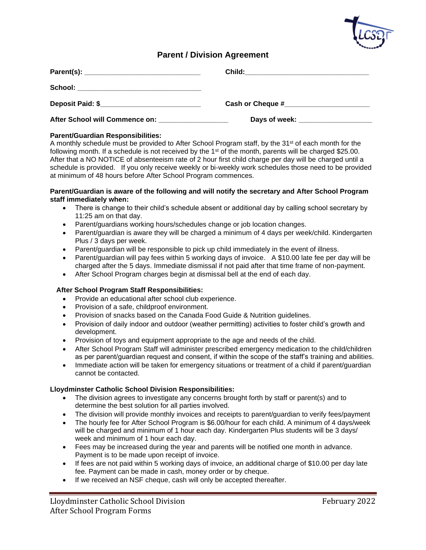

### **Parent / Division Agreement**

| School: __________________________________                    |  |
|---------------------------------------------------------------|--|
| Deposit Paid: \$______________________________                |  |
| After School will Commence on: After School will Commence on: |  |

#### **Parent/Guardian Responsibilities:**

A monthly schedule must be provided to After School Program staff, by the 31<sup>st</sup> of each month for the following month. If a schedule is not received by the 1<sup>st</sup> of the month, parents will be charged \$25.00. After that a NO NOTICE of absenteeism rate of 2 hour first child charge per day will be charged until a schedule is provided. If you only receive weekly or bi-weekly work schedules those need to be provided at minimum of 48 hours before After School Program commences.

#### **Parent/Guardian is aware of the following and will notify the secretary and After School Program staff immediately when:**

- There is change to their child's schedule absent or additional day by calling school secretary by 11:25 am on that day.
- Parent/guardians working hours/schedules change or job location changes.
- Parent/guardian is aware they will be charged a minimum of 4 days per week/child. Kindergarten Plus / 3 days per week.
- Parent/guardian will be responsible to pick up child immediately in the event of illness.
- Parent/guardian will pay fees within 5 working days of invoice. A \$10.00 late fee per day will be charged after the 5 days. Immediate dismissal if not paid after that time frame of non-payment.
- After School Program charges begin at dismissal bell at the end of each day.

#### **After School Program Staff Responsibilities:**

- Provide an educational after school club experience.
- Provision of a safe, childproof environment.
- Provision of snacks based on the Canada Food Guide & Nutrition guidelines.
- Provision of daily indoor and outdoor (weather permitting) activities to foster child's growth and development.
- Provision of toys and equipment appropriate to the age and needs of the child.
- After School Program Staff will administer prescribed emergency medication to the child/children as per parent/guardian request and consent, if within the scope of the staff's training and abilities.
- Immediate action will be taken for emergency situations or treatment of a child if parent/guardian cannot be contacted.

#### **Lloydminster Catholic School Division Responsibilities:**

- The division agrees to investigate any concerns brought forth by staff or parent(s) and to determine the best solution for all parties involved.
- The division will provide monthly invoices and receipts to parent/quardian to verify fees/payment
- The hourly fee for After School Program is \$6.00/hour for each child. A minimum of 4 days/week will be charged and minimum of 1 hour each day. Kindergarten Plus students will be 3 days/ week and minimum of 1 hour each day.
- Fees may be increased during the year and parents will be notified one month in advance. Payment is to be made upon receipt of invoice.
- If fees are not paid within 5 working days of invoice, an additional charge of \$10.00 per day late fee. Payment can be made in cash, money order or by cheque.
- If we received an NSF cheque, cash will only be accepted thereafter.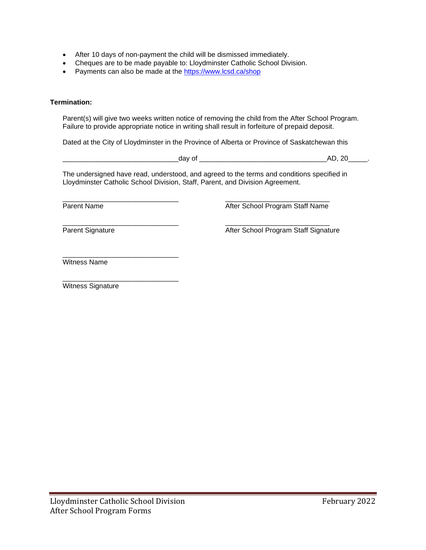- After 10 days of non-payment the child will be dismissed immediately.
- Cheques are to be made payable to: Lloydminster Catholic School Division.
- Payments can also be made at the<https://www.lcsd.ca/shop>

#### **Termination:**

Parent(s) will give two weeks written notice of removing the child from the After School Program. Failure to provide appropriate notice in writing shall result in forfeiture of prepaid deposit.

Dated at the City of Lloydminster in the Province of Alberta or Province of Saskatchewan this

|                                                                                                                                                                             | day of | AD, 20                               |
|-----------------------------------------------------------------------------------------------------------------------------------------------------------------------------|--------|--------------------------------------|
| The undersigned have read, understood, and agreed to the terms and conditions specified in<br>Lloydminster Catholic School Division, Staff, Parent, and Division Agreement. |        |                                      |
| Parent Name                                                                                                                                                                 |        | After School Program Staff Name      |
| Parent Signature                                                                                                                                                            |        | After School Program Staff Signature |
| <b>Witness Name</b>                                                                                                                                                         |        |                                      |

\_\_\_\_\_\_\_\_\_\_\_\_\_\_\_\_\_\_\_\_\_\_\_\_\_\_\_\_\_\_ Witness Signature